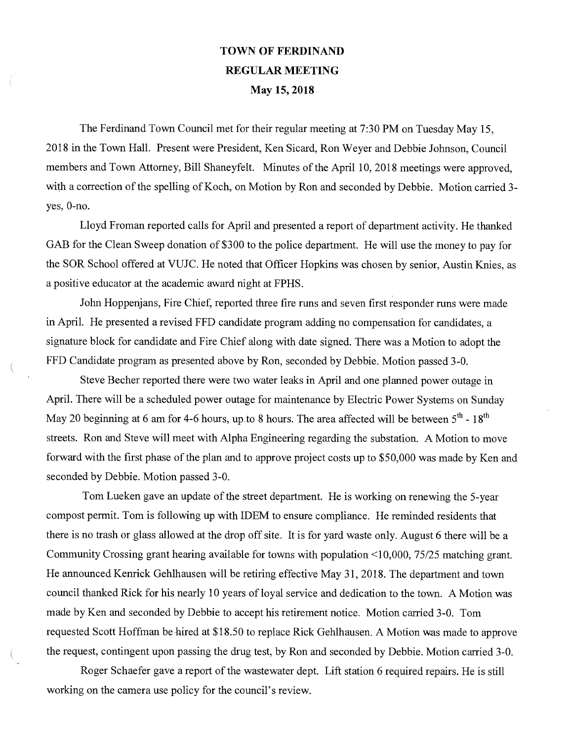## TOWN OF FERDINAND REGULAR **MEETING May 15, 2018**

The Ferdinand Town Council met for their regular meeting at 7:30 PM on Tuesday May 15, 2018 in the Town Hall. Present were President, Ken Sicard, Ron Weyer and Debbie Johnson, Council members and Town Attorney, Bill Shaneyfelt. Minutes of the April 10, 2018 meetings were approved, with a correction of the spelling of Koch, on Motion by Ron and seconded by Debbie. Motion carried 3 yes, 0-no.

Lloyd Froman reported calls for April and presented a report of department activity. He thanked GAB for the Clean Sweep donation of \$300 to the police department. He will use the money to pay for the SOR School offered at VUJC. He noted that Officer Hopkins was chosen by senior, Austin Knies, as a positive educator at the academic award night at FPHS.

John Hoppenjans, Fire Chief, reported three fire runs and seven first responder runs were made in April. He presented a revised FFD candidate program adding no compensation for candidates, a signature block for candidate and Fire Chief along with date signed. There was a Motion to adopt the FFD Candidate program as presented above by Ron, seconded by Debbie. Motion passed 3-0.

Steve Becher reported there were two water leaks in April and one planned power outage in April. There will be a scheduled power outage for maintenance by Electric Power Systems on Sunday May 20 beginning at 6 am for 4-6 hours, up to 8 hours. The area affected will be between  $5^{th}$  -  $18^{th}$ streets. Ron and Steve will meet with Alpha Engineering regarding the substation. A Motion to move forward with the first phase of the plan and to approve project costs up to \$50,000 was made by Ken and seconded by Debbie. Motion passed 3-0.

Tom Lueken gave an update of the street department. He is working on renewing the 5-year compost permit. Tom is following up with IDEM to ensure compliance. He reminded residents that there is no trash or glass allowed at the drop off site. It is for yard waste only. August 6 there will be a Community Crossing grant hearing available for towns with population <10,000, 75/25 matching grant. He announced Kenrick Gehlhausen will be retiring effective May 31, 2018. The department and town council thanked Rick for his nearly 10 years of loyal service and dedication to the town. A Motion was made by Ken and seconded by Debbie to accept his retirement notice. Motion carried 3-0. Tom requested Scott Hoffman be hired at \$18.50 to replace Rick Gehlhausen. A Motion was made to approve the request, contingent upon passing the drug test, by Ron and seconded by Debbie. Motion carried 3-0.

Roger Schaefer gave a report of the wastewater dept. Lift station 6 required repairs. He is still working on the camera use policy for the council's review.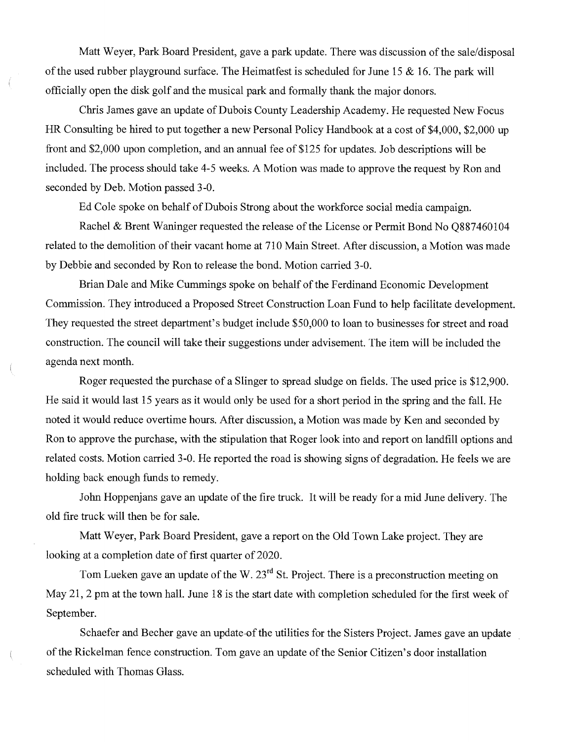Matt Weyer, Park Board President, gave a park update. There was discussion of the sale/disposal of the used rubber playground surface. The Heimatfest is scheduled for June 15 & 16. The park will officially open the disk golf and the musical park and formally thank the major donors.

Chris James gave an update of Dubois County Leadership Academy. He requested New Focus HR Consulting be hired to put together a new Personal Policy Handbook at a cost of \$4,000, \$2,000 up front and \$2,000 upon completion, and an annual fee of \$125 for updates. Job descriptions will be included. The process should take 4-5 weeks. A Motion was made to approve the request by Ron and seconded by Deb. Motion passed 3-0.

Ed Cole spoke on behalf of Dubois Strong about the workforce social media campaign.

Rachel & Brent Waninger requested the release of the License or Permit Bond No Q887460104 related to the demolition of their vacant home at 710 Main Street. After discussion, a Motion was made by Debbie and seconded by Ron to release the bond. Motion carried 3-0.

Brian Dale and Mike Cummings spoke on behalf of the Ferdinand Economic Development Commission. They introduced a Proposed Street Construction Loan Fund to help facilitate development. They requested the street department's budget include \$50,000 to loan to businesses for street and road construction. The council will take their suggestions under advisement. The item will be included the agenda next month.

Roger requested the purchase of a Slinger to spread sludge on fields. The used price is \$12,900. He said it would last 15 years as it would only be used for a short period in the spring and the fall. He noted it would reduce overtime hours. After discussion, a Motion was made by Ken and seconded by Ron to approve the purchase, with the stipulation that Roger look into and report on landfill options and related costs. Motion carried 3-0. He reported the road is showing signs of degradation. He feels we are holding back enough funds to remedy.

John Hoppenjans gave an update of the fire truck. It will be ready for a mid June delivery. The old fire truck will then be for sale.

Matt Weyer, Park Board President, gave a report on the Old Town Lake project. They are looking at a completion date of first quarter of 2020.

Tom Lueken gave an update of the W.  $23<sup>rd</sup>$  St. Project. There is a preconstruction meeting on May 21, 2 pm at the town hall. June 18 is the start date with completion scheduled for the first week of September.

Schaefer and Becher gave an update-of the utilities for the Sisters Project. James gave an update of the Rickelman fence construction. Tom gave an update of the Senior Citizen 's door installation scheduled with Thomas Glass.

 $\left(\right)$